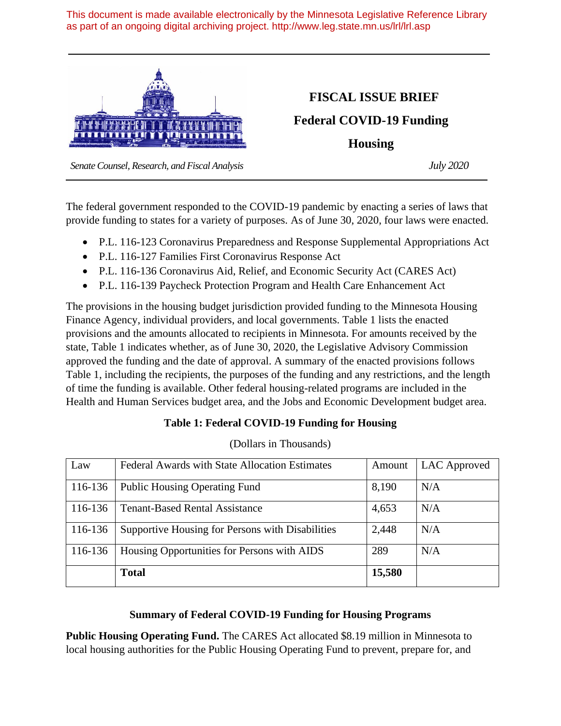This document is made available electronically by the Minnesota Legislative Reference Library as part of an ongoing digital archiving project. http://www.leg.state.mn.us/lrl/lrl.asp



## **FISCAL ISSUE BRIEF**

**Federal COVID-19 Funding**

**Housing**

 *Senate Counsel, Research, and Fiscal Analysis July 2020*

The federal government responded to the COVID-19 pandemic by enacting a series of laws that provide funding to states for a variety of purposes. As of June 30, 2020, four laws were enacted.

- P.L. 116-123 Coronavirus Preparedness and Response Supplemental Appropriations Act
- P.L. 116-127 Families First Coronavirus Response Act
- P.L. 116-136 Coronavirus Aid, Relief, and Economic Security Act (CARES Act)
- P.L. 116-139 Paycheck Protection Program and Health Care Enhancement Act

The provisions in the housing budget jurisdiction provided funding to the Minnesota Housing Finance Agency, individual providers, and local governments. Table 1 lists the enacted provisions and the amounts allocated to recipients in Minnesota. For amounts received by the state, Table 1 indicates whether, as of June 30, 2020, the Legislative Advisory Commission approved the funding and the date of approval. A summary of the enacted provisions follows Table 1, including the recipients, the purposes of the funding and any restrictions, and the length of time the funding is available. Other federal housing-related programs are included in the Health and Human Services budget area, and the Jobs and Economic Development budget area.

## **Table 1: Federal COVID-19 Funding for Housing**

| Law     | <b>Federal Awards with State Allocation Estimates</b> | Amount | LAC Approved |
|---------|-------------------------------------------------------|--------|--------------|
|         |                                                       |        |              |
| 116-136 | <b>Public Housing Operating Fund</b>                  | 8,190  | N/A          |
|         |                                                       |        |              |
| 116-136 | <b>Tenant-Based Rental Assistance</b>                 | 4,653  | N/A          |
|         |                                                       |        |              |
| 116-136 | Supportive Housing for Persons with Disabilities      | 2,448  | N/A          |
|         |                                                       |        |              |
| 116-136 | Housing Opportunities for Persons with AIDS           | 289    | N/A          |
|         |                                                       |        |              |
|         | <b>Total</b>                                          | 15,580 |              |
|         |                                                       |        |              |

(Dollars in Thousands)

## **Summary of Federal COVID-19 Funding for Housing Programs**

**Public Housing Operating Fund.** The CARES Act allocated \$8.19 million in Minnesota to local housing authorities for the Public Housing Operating Fund to prevent, prepare for, and